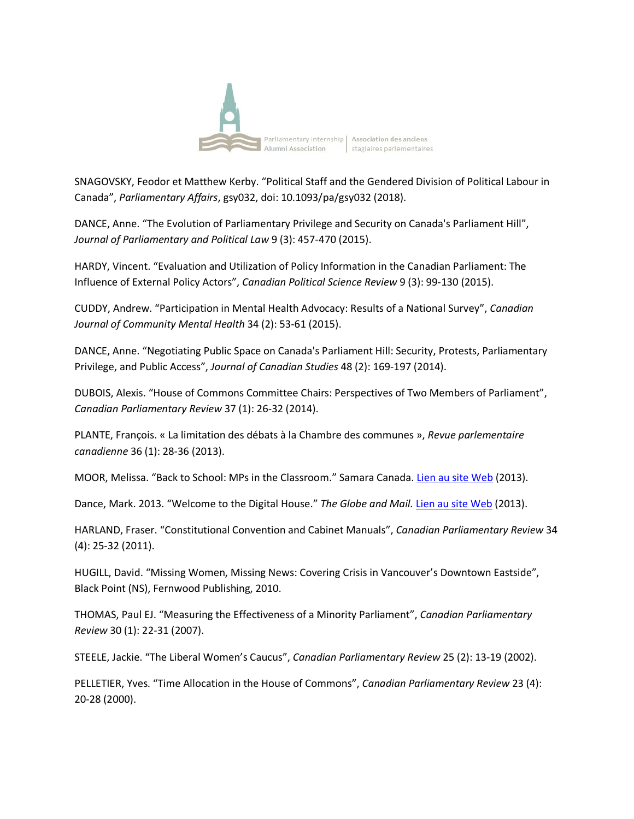

SNAGOVSKY, Feodor et Matthew Kerby. "Political Staff and the Gendered Division of Political Labour in Canada", *Parliamentary Affairs*, gsy032, doi: 10.1093/pa/gsy032 (2018).

DANCE, Anne. "The Evolution of Parliamentary Privilege and Security on Canada's Parliament Hill", *Journal of Parliamentary and Political Law* 9 (3): 457-470 (2015).

HARDY, Vincent. "Evaluation and Utilization of Policy Information in the Canadian Parliament: The Influence of External Policy Actors", *Canadian Political Science Review* 9 (3): 99-130 (2015).

CUDDY, Andrew. "Participation in Mental Health Advocacy: Results of a National Survey", *Canadian Journal of Community Mental Health* 34 (2): 53-61 (2015).

DANCE, Anne. "Negotiating Public Space on Canada's Parliament Hill: Security, Protests, Parliamentary Privilege, and Public Access", *Journal of Canadian Studies* 48 (2): 169-197 (2014).

DUBOIS, Alexis. "House of Commons Committee Chairs: Perspectives of Two Members of Parliament", *Canadian Parliamentary Review* 37 (1): 26-32 (2014).

PLANTE, François. « La limitation des débats à la Chambre des communes », *Revue parlementaire canadienne* 36 (1): 28-36 (2013).

MOOR, Melissa. "Back to School: MPs in the Classroom." Samara Canada. Lien au site Web (2013).

Dance, Mark. 2013. "Welcome to the Digital House." *The Globe and Mail.* Lien au site Web (2013).

HARLAND, Fraser. "Constitutional Convention and Cabinet Manuals", *Canadian Parliamentary Review* 34 (4): 25-32 (2011).

HUGILL, David. "Missing Women, Missing News: Covering Crisis in Vancouver's Downtown Eastside", Black Point (NS), Fernwood Publishing, 2010.

THOMAS, Paul EJ. "Measuring the Effectiveness of a Minority Parliament", *Canadian Parliamentary Review* 30 (1): 22-31 (2007).

STEELE, Jackie. "The Liberal Women's Caucus", *Canadian Parliamentary Review* 25 (2): 13-19 (2002).

PELLETIER, Yves. "Time Allocation in the House of Commons", *Canadian Parliamentary Review* 23 (4): 20-28 (2000).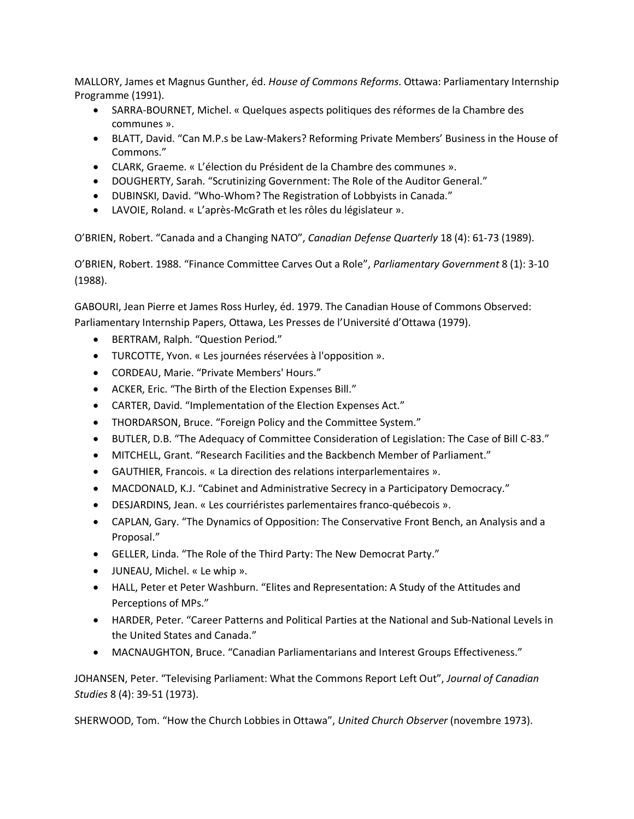MALLORY, James et Magnus Gunther, éd. *House of Commons Reforms*. Ottawa: Parliamentary Internship Programme (1991).

- SARRA-BOURNET, Michel. « Quelques aspects politiques des réformes de la Chambre des communes ».
- BLATT, David. "Can M.P.s be Law-Makers? Reforming Private Members' Business in the House of Commons."
- CLARK, Graeme. « L'élection du Président de la Chambre des communes ».
- DOUGHERTY, Sarah. "Scrutinizing Government: The Role of the Auditor General."
- DUBINSKI, David. "Who-Whom? The Registration of Lobbyists in Canada."
- LAVOIE, Roland. « L'après-McGrath et les rôles du législateur ».

O'BRIEN, Robert. "Canada and a Changing NATO", *Canadian Defense Quarterly* 18 (4): 61-73 (1989).

O'BRIEN, Robert. 1988. "Finance Committee Carves Out a Role", *Parliamentary Government* 8 (1): 3-10 (1988).

GABOURI, Jean Pierre et James Ross Hurley, éd. 1979. The Canadian House of Commons Observed: Parliamentary Internship Papers, Ottawa, Les Presses de l'Université d'Ottawa (1979).

- BERTRAM, Ralph. "Question Period."
- TURCOTTE, Yvon. « Les journées réservées à l'opposition ».
- CORDEAU, Marie. "Private Members' Hours."
- ACKER, Eric. "The Birth of the Election Expenses Bill."
- CARTER, David. "Implementation of the Election Expenses Act."
- THORDARSON, Bruce. "Foreign Policy and the Committee System."
- BUTLER, D.B. "The Adequacy of Committee Consideration of Legislation: The Case of Bill C-83."
- MITCHELL, Grant. "Research Facilities and the Backbench Member of Parliament."
- GAUTHIER, Francois. « La direction des relations interparlementaires ».
- MACDONALD, K.J. "Cabinet and Administrative Secrecy in a Participatory Democracy."
- DESJARDINS, Jean. « Les courriéristes parlementaires franco-québecois ».
- CAPLAN, Gary. "The Dynamics of Opposition: The Conservative Front Bench, an Analysis and a Proposal."
- GELLER, Linda. "The Role of the Third Party: The New Democrat Party."
- JUNEAU, Michel. « Le whip ».
- HALL, Peter et Peter Washburn. "Elites and Representation: A Study of the Attitudes and Perceptions of MPs."
- HARDER, Peter. "Career Patterns and Political Parties at the National and Sub-National Levels in the United States and Canada."
- MACNAUGHTON, Bruce. "Canadian Parliamentarians and Interest Groups Effectiveness."

JOHANSEN, Peter. "Televising Parliament: What the Commons Report Left Out", *Journal of Canadian Studies* 8 (4): 39-51 (1973).

SHERWOOD, Tom. "How the Church Lobbies in Ottawa", *United Church Observer* (novembre 1973).